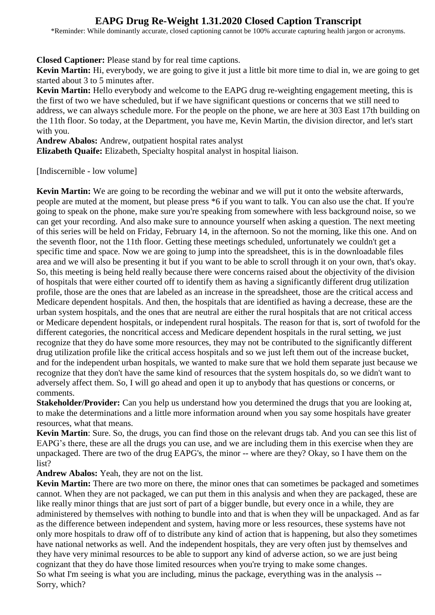# **EAPG Drug Re-Weight 1.31.2020 Closed Caption Transcript**

\*Reminder: While dominantly accurate, closed captioning cannot be 100% accurate capturing health jargon or acronyms.

**Closed Captioner:** Please stand by for real time captions.

**Kevin Martin:** Hi, everybody, we are going to give it just a little bit more time to dial in, we are going to get started about 3 to 5 minutes after.

**Kevin Martin:** Hello everybody and welcome to the EAPG drug re-weighting engagement meeting, this is the first of two we have scheduled, but if we have significant questions or concerns that we still need to address, we can always schedule more. For the people on the phone, we are here at 303 East 17th building on the 11th floor. So today, at the Department, you have me, Kevin Martin, the division director, and let's start with you.

**Andrew Abalos:** Andrew, outpatient hospital rates analyst

**Elizabeth Quaife:** Elizabeth, Specialty hospital analyst in hospital liaison.

[Indiscernible - low volume]

**Kevin Martin:** We are going to be recording the webinar and we will put it onto the website afterwards, people are muted at the moment, but please press \*6 if you want to talk. You can also use the chat. If you're going to speak on the phone, make sure you're speaking from somewhere with less background noise, so we can get your recording. And also make sure to announce yourself when asking a question. The next meeting of this series will be held on Friday, February 14, in the afternoon. So not the morning, like this one. And on the seventh floor, not the 11th floor. Getting these meetings scheduled, unfortunately we couldn't get a specific time and space. Now we are going to jump into the spreadsheet, this is in the downloadable files area and we will also be presenting it but if you want to be able to scroll through it on your own, that's okay. So, this meeting is being held really because there were concerns raised about the objectivity of the division of hospitals that were either courted off to identify them as having a significantly different drug utilization profile, those are the ones that are labeled as an increase in the spreadsheet, those are the critical access and Medicare dependent hospitals. And then, the hospitals that are identified as having a decrease, these are the urban system hospitals, and the ones that are neutral are either the rural hospitals that are not critical access or Medicare dependent hospitals, or independent rural hospitals. The reason for that is, sort of twofold for the different categories, the noncritical access and Medicare dependent hospitals in the rural setting, we just recognize that they do have some more resources, they may not be contributed to the significantly different drug utilization profile like the critical access hospitals and so we just left them out of the increase bucket, and for the independent urban hospitals, we wanted to make sure that we hold them separate just because we recognize that they don't have the same kind of resources that the system hospitals do, so we didn't want to adversely affect them. So, I will go ahead and open it up to anybody that has questions or concerns, or comments.

**Stakeholder/Provider:** Can you help us understand how you determined the drugs that you are looking at, to make the determinations and a little more information around when you say some hospitals have greater resources, what that means.

**Kevin Martin**: Sure. So, the drugs, you can find those on the relevant drugs tab. And you can see this list of EAPG's there, these are all the drugs you can use, and we are including them in this exercise when they are unpackaged. There are two of the drug EAPG's, the minor -- where are they? Okay, so I have them on the list?

**Andrew Abalos:** Yeah, they are not on the list.

**Kevin Martin:** There are two more on there, the minor ones that can sometimes be packaged and sometimes cannot. When they are not packaged, we can put them in this analysis and when they are packaged, these are like really minor things that are just sort of part of a bigger bundle, but every once in a while, they are administered by themselves with nothing to bundle into and that is when they will be unpackaged. And as far as the difference between independent and system, having more or less resources, these systems have not only more hospitals to draw off of to distribute any kind of action that is happening, but also they sometimes have national networks as well. And the independent hospitals, they are very often just by themselves and they have very minimal resources to be able to support any kind of adverse action, so we are just being cognizant that they do have those limited resources when you're trying to make some changes. So what I'm seeing is what you are including, minus the package, everything was in the analysis -- Sorry, which?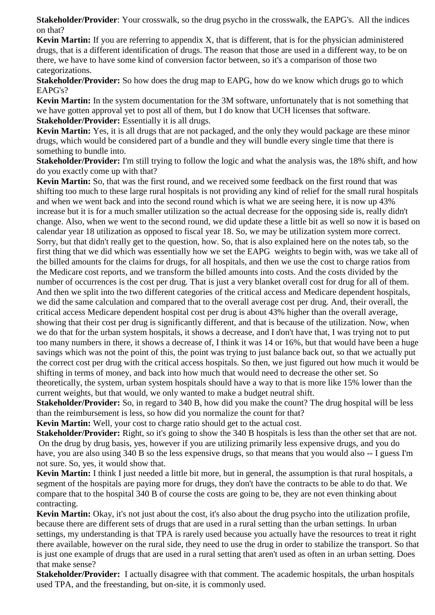**Stakeholder/Provider**: Your crosswalk, so the drug psycho in the crosswalk, the EAPG's. All the indices on that?

**Kevin Martin:** If you are referring to appendix X, that is different, that is for the physician administered drugs, that is a different identification of drugs. The reason that those are used in a different way, to be on there, we have to have some kind of conversion factor between, so it's a comparison of those two categorizations.

**Stakeholder/Provider:** So how does the drug map to EAPG, how do we know which drugs go to which EAPG's?

**Kevin Martin:** In the system documentation for the 3M software, unfortunately that is not something that we have gotten approval yet to post all of them, but I do know that UCH licenses that software. **Stakeholder/Provider:** Essentially it is all drugs.

**Kevin Martin:** Yes, it is all drugs that are not packaged, and the only they would package are these minor drugs, which would be considered part of a bundle and they will bundle every single time that there is something to bundle into.

**Stakeholder/Provider:** I'm still trying to follow the logic and what the analysis was, the 18% shift, and how do you exactly come up with that?

**Kevin Martin:** So, that was the first round, and we received some feedback on the first round that was shifting too much to these large rural hospitals is not providing any kind of relief for the small rural hospitals and when we went back and into the second round which is what we are seeing here, it is now up 43% increase but it is for a much smaller utilization so the actual decrease for the opposing side is, really didn't change. Also, when we went to the second round, we did update these a little bit as well so now it is based on calendar year 18 utilization as opposed to fiscal year 18. So, we may be utilization system more correct. Sorry, but that didn't really get to the question, how. So, that is also explained here on the notes tab, so the first thing that we did which was essentially how we set the EAPG weights to begin with, was we take all of the billed amounts for the claims for drugs, for all hospitals, and then we use the cost to charge ratios from the Medicare cost reports, and we transform the billed amounts into costs. And the costs divided by the number of occurrences is the cost per drug. That is just a very blanket overall cost for drug for all of them. And then we split into the two different categories of the critical access and Medicare dependent hospitals, we did the same calculation and compared that to the overall average cost per drug. And, their overall, the critical access Medicare dependent hospital cost per drug is about 43% higher than the overall average, showing that their cost per drug is significantly different, and that is because of the utilization. Now, when we do that for the urban system hospitals, it shows a decrease, and I don't have that, I was trying not to put too many numbers in there, it shows a decrease of, I think it was 14 or 16%, but that would have been a huge savings which was not the point of this, the point was trying to just balance back out, so that we actually put the correct cost per drug with the critical access hospitals. So then, we just figured out how much it would be shifting in terms of money, and back into how much that would need to decrease the other set. So theoretically, the system, urban system hospitals should have a way to that is more like 15% lower than the current weights, but that would, we only wanted to make a budget neutral shift.

**Stakeholder/Provider:** So, in regard to 340 B, how did you make the count? The drug hospital will be less than the reimbursement is less, so how did you normalize the count for that?

**Kevin Martin:** Well, your cost to charge ratio should get to the actual cost.

**Stakeholder/Provider:** Right, so it's going to show the 340 B hospitals is less than the other set that are not. On the drug by drug basis, yes, however if you are utilizing primarily less expensive drugs, and you do have, you are also using 340 B so the less expensive drugs, so that means that you would also -- I guess I'm not sure. So, yes, it would show that.

**Kevin Martin:** I think I just needed a little bit more, but in general, the assumption is that rural hospitals, a segment of the hospitals are paying more for drugs, they don't have the contracts to be able to do that. We compare that to the hospital 340 B of course the costs are going to be, they are not even thinking about contracting.

**Kevin Martin:** Okay, it's not just about the cost, it's also about the drug psycho into the utilization profile, because there are different sets of drugs that are used in a rural setting than the urban settings. In urban settings, my understanding is that TPA is rarely used because you actually have the resources to treat it right there available, however on the rural side, they need to use the drug in order to stabilize the transport. So that is just one example of drugs that are used in a rural setting that aren't used as often in an urban setting. Does that make sense?

**Stakeholder/Provider:** I actually disagree with that comment. The academic hospitals, the urban hospitals used TPA, and the freestanding, but on-site, it is commonly used.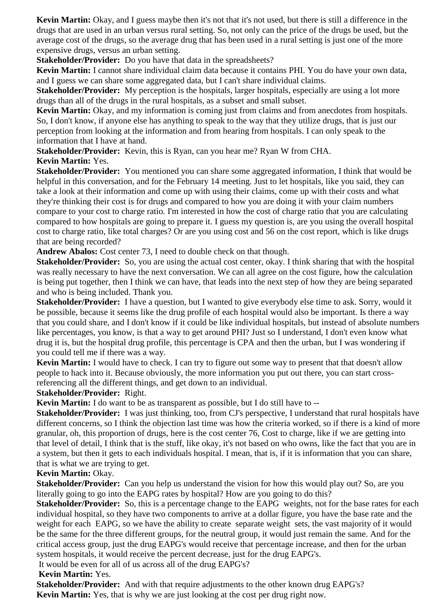**Kevin Martin:** Okay, and I guess maybe then it's not that it's not used, but there is still a difference in the drugs that are used in an urban versus rural setting. So, not only can the price of the drugs be used, but the average cost of the drugs, so the average drug that has been used in a rural setting is just one of the more expensive drugs, versus an urban setting.

**Stakeholder/Provider:** Do you have that data in the spreadsheets?

**Kevin Martin:** I cannot share individual claim data because it contains PHI. You do have your own data, and I guess we can share some aggregated data, but I can't share individual claims.

**Stakeholder/Provider:** My perception is the hospitals, larger hospitals, especially are using a lot more drugs than all of the drugs in the rural hospitals, as a subset and small subset.

**Kevin Martin:** Okay, and my information is coming just from claims and from anecdotes from hospitals. So, I don't know, if anyone else has anything to speak to the way that they utilize drugs, that is just our perception from looking at the information and from hearing from hospitals. I can only speak to the information that I have at hand.

**Stakeholder/Provider:** Kevin, this is Ryan, can you hear me? Ryan W from CHA.

# **Kevin Martin:** Yes.

**Stakeholder/Provider:** You mentioned you can share some aggregated information, I think that would be helpful in this conversation, and for the February 14 meeting. Just to let hospitals, like you said, they can take a look at their information and come up with using their claims, come up with their costs and what they're thinking their cost is for drugs and compared to how you are doing it with your claim numbers compare to your cost to charge ratio. I'm interested in how the cost of charge ratio that you are calculating compared to how hospitals are going to prepare it. I guess my question is, are you using the overall hospital cost to charge ratio, like total charges? Or are you using cost and 56 on the cost report, which is like drugs that are being recorded?

**Andrew Abalos:** Cost center 73, I need to double check on that though.

**Stakeholder/Provider:** So, you are using the actual cost center, okay. I think sharing that with the hospital was really necessary to have the next conversation. We can all agree on the cost figure, how the calculation is being put together, then I think we can have, that leads into the next step of how they are being separated and who is being included. Thank you.

**Stakeholder/Provider:** I have a question, but I wanted to give everybody else time to ask. Sorry, would it be possible, because it seems like the drug profile of each hospital would also be important. Is there a way that you could share, and I don't know if it could be like individual hospitals, but instead of absolute numbers like percentages, you know, is that a way to get around PHI? Just so I understand, I don't even know what drug it is, but the hospital drug profile, this percentage is CPA and then the urban, but I was wondering if you could tell me if there was a way.

**Kevin Martin:** I would have to check. I can try to figure out some way to present that that doesn't allow people to hack into it. Because obviously, the more information you put out there, you can start crossreferencing all the different things, and get down to an individual.

# **Stakeholder/Provider:** Right.

**Kevin Martin:** I do want to be as transparent as possible, but I do still have to --

**Stakeholder/Provider:** I was just thinking, too, from CJ's perspective, I understand that rural hospitals have different concerns, so I think the objection last time was how the criteria worked, so if there is a kind of more granular, oh, this proportion of drugs, here is the cost center 76, Cost to charge, like if we are getting into that level of detail, I think that is the stuff, like okay, it's not based on who owns, like the fact that you are in a system, but then it gets to each individuals hospital. I mean, that is, if it is information that you can share, that is what we are trying to get.

# **Kevin Martin:** Okay.

**Stakeholder/Provider:** Can you help us understand the vision for how this would play out? So, are you literally going to go into the EAPG rates by hospital? How are you going to do this?

**Stakeholder/Provider:** So, this is a percentage change to the EAPG weights, not for the base rates for each individual hospital, so they have two components to arrive at a dollar figure, you have the base rate and the weight for each EAPG, so we have the ability to create separate weight sets, the vast majority of it would be the same for the three different groups, for the neutral group, it would just remain the same. And for the critical access group, just the drug EAPG's would receive that percentage increase, and then for the urban system hospitals, it would receive the percent decrease, just for the drug EAPG's.

It would be even for all of us across all of the drug EAPG's?

# **Kevin Martin:** Yes.

**Stakeholder/Provider:** And with that require adjustments to the other known drug EAPG's? **Kevin Martin:** Yes, that is why we are just looking at the cost per drug right now.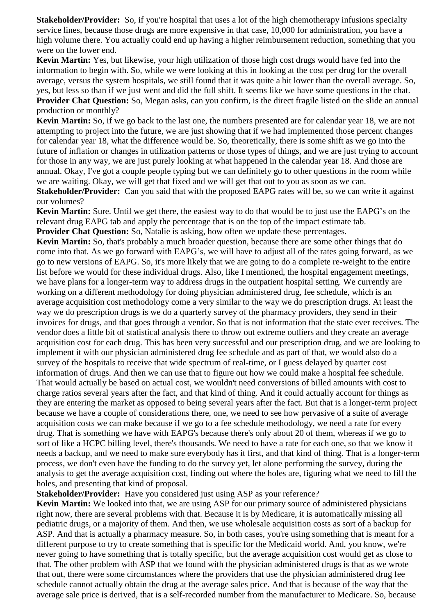**Stakeholder/Provider:** So, if you're hospital that uses a lot of the high chemotherapy infusions specialty service lines, because those drugs are more expensive in that case, 10,000 for administration, you have a high volume there. You actually could end up having a higher reimbursement reduction, something that you were on the lower end.

**Kevin Martin:** Yes, but likewise, your high utilization of those high cost drugs would have fed into the information to begin with. So, while we were looking at this in looking at the cost per drug for the overall average, versus the system hospitals, we still found that it was quite a bit lower than the overall average. So, yes, but less so than if we just went and did the full shift. It seems like we have some questions in the chat. **Provider Chat Question:** So, Megan asks, can you confirm, is the direct fragile listed on the slide an annual production or monthly?

**Kevin Martin:** So, if we go back to the last one, the numbers presented are for calendar year 18, we are not attempting to project into the future, we are just showing that if we had implemented those percent changes for calendar year 18, what the difference would be. So, theoretically, there is some shift as we go into the future of inflation or changes in utilization patterns or those types of things, and we are just trying to account for those in any way, we are just purely looking at what happened in the calendar year 18. And those are annual. Okay, I've got a couple people typing but we can definitely go to other questions in the room while we are waiting. Okay, we will get that fixed and we will get that out to you as soon as we can.

**Stakeholder/Provider:** Can you said that with the proposed EAPG rates will be, so we can write it against our volumes?

**Kevin Martin:** Sure. Until we get there, the easiest way to do that would be to just use the EAPG's on the relevant drug EAPG tab and apply the percentage that is on the top of the impact estimate tab. **Provider Chat Question:** So, Natalie is asking, how often we update these percentages.

**Kevin Martin:** So, that's probably a much broader question, because there are some other things that do come into that. As we go forward with EAPG's, we will have to adjust all of the rates going forward, as we go to new versions of EAPG. So, it's more likely that we are going to do a complete re-weight to the entire list before we would for these individual drugs. Also, like I mentioned, the hospital engagement meetings, we have plans for a longer-term way to address drugs in the outpatient hospital setting. We currently are working on a different methodology for doing physician administered drug, fee schedule, which is an average acquisition cost methodology come a very similar to the way we do prescription drugs. At least the way we do prescription drugs is we do a quarterly survey of the pharmacy providers, they send in their invoices for drugs, and that goes through a vendor. So that is not information that the state ever receives. The vendor does a little bit of statistical analysis there to throw out extreme outliers and they create an average acquisition cost for each drug. This has been very successful and our prescription drug, and we are looking to implement it with our physician administered drug fee schedule and as part of that, we would also do a survey of the hospitals to receive that wide spectrum of real-time, or I guess delayed by quarter cost information of drugs. And then we can use that to figure out how we could make a hospital fee schedule. That would actually be based on actual cost, we wouldn't need conversions of billed amounts with cost to charge ratios several years after the fact, and that kind of thing. And it could actually account for things as they are entering the market as opposed to being several years after the fact. But that is a longer-term project because we have a couple of considerations there, one, we need to see how pervasive of a suite of average acquisition costs we can make because if we go to a fee schedule methodology, we need a rate for every drug. That is something we have with EAPG's because there's only about 20 of them, whereas if we go to sort of like a HCPC billing level, there's thousands. We need to have a rate for each one, so that we know it needs a backup, and we need to make sure everybody has it first, and that kind of thing. That is a longer-term process, we don't even have the funding to do the survey yet, let alone performing the survey, during the analysis to get the average acquisition cost, finding out where the holes are, figuring what we need to fill the holes, and presenting that kind of proposal.

# **Stakeholder/Provider:** Have you considered just using ASP as your reference?

**Kevin Martin:** We looked into that, we are using ASP for our primary source of administered physicians right now, there are several problems with that. Because it is by Medicare, it is automatically missing all pediatric drugs, or a majority of them. And then, we use wholesale acquisition costs as sort of a backup for ASP. And that is actually a pharmacy measure. So, in both cases, you're using something that is meant for a different purpose to try to create something that is specific for the Medicaid world. And, you know, we're never going to have something that is totally specific, but the average acquisition cost would get as close to that. The other problem with ASP that we found with the physician administered drugs is that as we wrote that out, there were some circumstances where the providers that use the physician administered drug fee schedule cannot actually obtain the drug at the average sales price. And that is because of the way that the average sale price is derived, that is a self-recorded number from the manufacturer to Medicare. So, because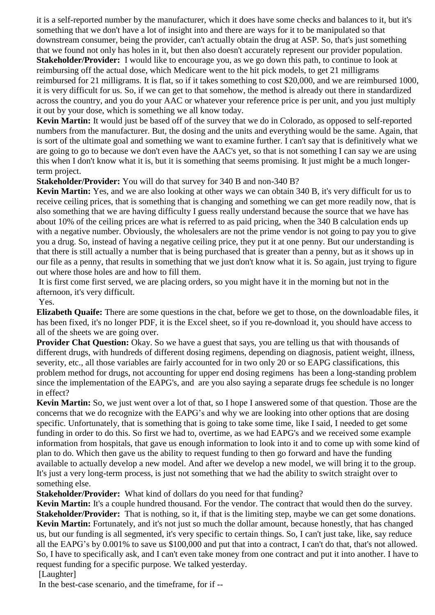it is a self-reported number by the manufacturer, which it does have some checks and balances to it, but it's something that we don't have a lot of insight into and there are ways for it to be manipulated so that downstream consumer, being the provider, can't actually obtain the drug at ASP. So, that's just something that we found not only has holes in it, but then also doesn't accurately represent our provider population. **Stakeholder/Provider:** I would like to encourage you, as we go down this path, to continue to look at reimbursing off the actual dose, which Medicare went to the hit pick models, to get 21 milligrams reimbursed for 21 milligrams. It is flat, so if it takes something to cost \$20,000, and we are reimbursed 1000, it is very difficult for us. So, if we can get to that somehow, the method is already out there in standardized across the country, and you do your AAC or whatever your reference price is per unit, and you just multiply it out by your dose, which is something we all know today.

**Kevin Martin:** It would just be based off of the survey that we do in Colorado, as opposed to self-reported numbers from the manufacturer. But, the dosing and the units and everything would be the same. Again, that is sort of the ultimate goal and something we want to examine further. I can't say that is definitively what we are going to go to because we don't even have the AAC's yet, so that is not something I can say we are using this when I don't know what it is, but it is something that seems promising. It just might be a much longerterm project.

**Stakeholder/Provider:** You will do that survey for 340 B and non-340 B?

**Kevin Martin:** Yes, and we are also looking at other ways we can obtain 340 B, it's very difficult for us to receive ceiling prices, that is something that is changing and something we can get more readily now, that is also something that we are having difficulty I guess really understand because the source that we have has about 10% of the ceiling prices are what is referred to as paid pricing, when the 340 B calculation ends up with a negative number. Obviously, the wholesalers are not the prime vendor is not going to pay you to give you a drug. So, instead of having a negative ceiling price, they put it at one penny. But our understanding is that there is still actually a number that is being purchased that is greater than a penny, but as it shows up in our file as a penny, that results in something that we just don't know what it is. So again, just trying to figure out where those holes are and how to fill them.

It is first come first served, we are placing orders, so you might have it in the morning but not in the afternoon, it's very difficult.

### Yes.

**Elizabeth Quaife:** There are some questions in the chat, before we get to those, on the downloadable files, it has been fixed, it's no longer PDF, it is the Excel sheet, so if you re-download it, you should have access to all of the sheets we are going over.

**Provider Chat Question:** Okay. So we have a guest that says, you are telling us that with thousands of different drugs, with hundreds of different dosing regimens, depending on diagnosis, patient weight, illness, severity, etc., all those variables are fairly accounted for in two only 20 or so EAPG classifications, this problem method for drugs, not accounting for upper end dosing regimens has been a long-standing problem since the implementation of the EAPG's, and are you also saying a separate drugs fee schedule is no longer in effect?

**Kevin Martin:** So, we just went over a lot of that, so I hope I answered some of that question. Those are the concerns that we do recognize with the EAPG's and why we are looking into other options that are dosing specific. Unfortunately, that is something that is going to take some time, like I said, I needed to get some funding in order to do this. So first we had to, overtime, as we had EAPG's and we received some example information from hospitals, that gave us enough information to look into it and to come up with some kind of plan to do. Which then gave us the ability to request funding to then go forward and have the funding available to actually develop a new model. And after we develop a new model, we will bring it to the group. It's just a very long-term process, is just not something that we had the ability to switch straight over to something else.

**Stakeholder/Provider:** What kind of dollars do you need for that funding?

**Kevin Martin:** It's a couple hundred thousand. For the vendor. The contract that would then do the survey. **Stakeholder/Provider:** That is nothing, so it, if that is the limiting step, maybe we can get some donations. **Kevin Martin:** Fortunately, and it's not just so much the dollar amount, because honestly, that has changed us, but our funding is all segmented, it's very specific to certain things. So, I can't just take, like, say reduce all the EAPG's by 0.001% to save us \$100,000 and put that into a contract, I can't do that, that's not allowed. So, I have to specifically ask, and I can't even take money from one contract and put it into another. I have to request funding for a specific purpose. We talked yesterday. [Laughter]

In the best-case scenario, and the timeframe, for if --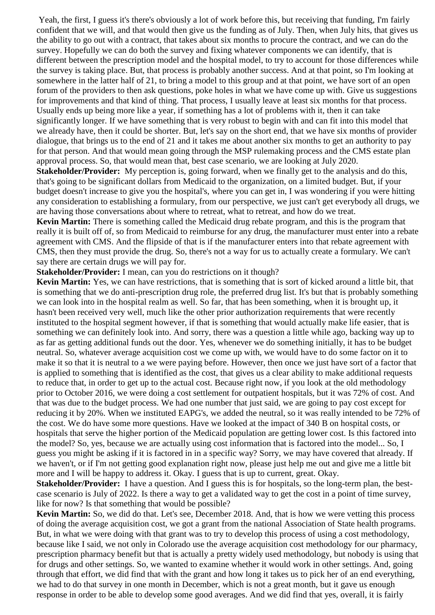Yeah, the first, I guess it's there's obviously a lot of work before this, but receiving that funding, I'm fairly confident that we will, and that would then give us the funding as of July. Then, when July hits, that gives us the ability to go out with a contract, that takes about six months to procure the contract, and we can do the survey. Hopefully we can do both the survey and fixing whatever components we can identify, that is different between the prescription model and the hospital model, to try to account for those differences while the survey is taking place. But, that process is probably another success. And at that point, so I'm looking at somewhere in the latter half of 21, to bring a model to this group and at that point, we have sort of an open forum of the providers to then ask questions, poke holes in what we have come up with. Give us suggestions for improvements and that kind of thing. That process, I usually leave at least six months for that process. Usually ends up being more like a year, if something has a lot of problems with it, then it can take significantly longer. If we have something that is very robust to begin with and can fit into this model that we already have, then it could be shorter. But, let's say on the short end, that we have six months of provider dialogue, that brings us to the end of 21 and it takes me about another six months to get an authority to pay for that person. And that would mean going through the MSP rulemaking process and the CMS estate plan approval process. So, that would mean that, best case scenario, we are looking at July 2020.

**Stakeholder/Provider:** My perception is, going forward, when we finally get to the analysis and do this, that's going to be significant dollars from Medicaid to the organization, on a limited budget. But, if your budget doesn't increase to give you the hospital's, where you can get in, I was wondering if you were hitting any consideration to establishing a formulary, from our perspective, we just can't get everybody all drugs, we are having those conversations about where to retreat, what to retreat, and how do we treat.

**Kevin Martin:** There is something called the Medicaid drug rebate program, and this is the program that really it is built off of, so from Medicaid to reimburse for any drug, the manufacturer must enter into a rebate agreement with CMS. And the flipside of that is if the manufacturer enters into that rebate agreement with CMS, then they must provide the drug. So, there's not a way for us to actually create a formulary. We can't say there are certain drugs we will pay for.

#### **Stakeholder/Provider:** I mean, can you do restrictions on it though?

**Kevin Martin:** Yes, we can have restrictions, that is something that is sort of kicked around a little bit, that is something that we do anti-prescription drug role, the preferred drug list. It's but that is probably something we can look into in the hospital realm as well. So far, that has been something, when it is brought up, it hasn't been received very well, much like the other prior authorization requirements that were recently instituted to the hospital segment however, if that is something that would actually make life easier, that is something we can definitely look into. And sorry, there was a question a little while ago, backing way up to as far as getting additional funds out the door. Yes, whenever we do something initially, it has to be budget neutral. So, whatever average acquisition cost we come up with, we would have to do some factor on it to make it so that it is neutral to a we were paying before. However, then once we just have sort of a factor that is applied to something that is identified as the cost, that gives us a clear ability to make additional requests to reduce that, in order to get up to the actual cost. Because right now, if you look at the old methodology prior to October 2016, we were doing a cost settlement for outpatient hospitals, but it was 72% of cost. And that was due to the budget process. We had one number that just said, we are going to pay cost except for reducing it by 20%. When we instituted EAPG's, we added the neutral, so it was really intended to be 72% of the cost. We do have some more questions. Have we looked at the impact of 340 B on hospital costs, or hospitals that serve the higher portion of the Medicaid population are getting lower cost. Is this factored into the model? So, yes, because we are actually using cost information that is factored into the model... So, I guess you might be asking if it is factored in in a specific way? Sorry, we may have covered that already. If we haven't, or if I'm not getting good explanation right now, please just help me out and give me a little bit more and I will be happy to address it. Okay. I guess that is up to current, great. Okay.

**Stakeholder/Provider:** I have a question. And I guess this is for hospitals, so the long-term plan, the bestcase scenario is July of 2022. Is there a way to get a validated way to get the cost in a point of time survey, like for now? Is that something that would be possible?

**Kevin Martin:** So, we did do that. Let's see, December 2018. And, that is how we were vetting this process of doing the average acquisition cost, we got a grant from the national Association of State health programs. But, in what we were doing with that grant was to try to develop this process of using a cost methodology, because like I said, we not only in Colorado use the average acquisition cost methodology for our pharmacy, prescription pharmacy benefit but that is actually a pretty widely used methodology, but nobody is using that for drugs and other settings. So, we wanted to examine whether it would work in other settings. And, going through that effort, we did find that with the grant and how long it takes us to pick her of an end everything, we had to do that survey in one month in December, which is not a great month, but it gave us enough response in order to be able to develop some good averages. And we did find that yes, overall, it is fairly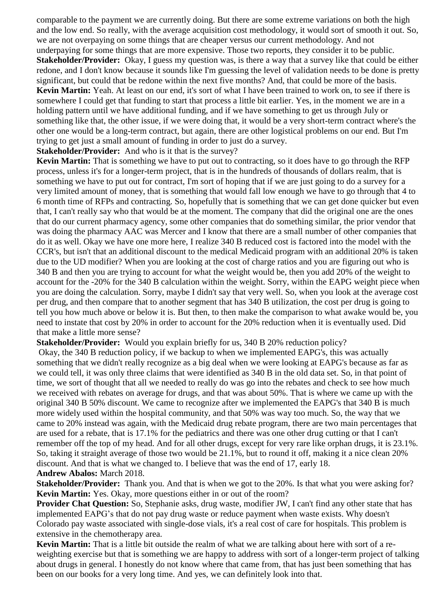comparable to the payment we are currently doing. But there are some extreme variations on both the high and the low end. So really, with the average acquisition cost methodology, it would sort of smooth it out. So, we are not overpaying on some things that are cheaper versus our current methodology. And not underpaying for some things that are more expensive. Those two reports, they consider it to be public. **Stakeholder/Provider:** Okay, I guess my question was, is there a way that a survey like that could be either redone, and I don't know because it sounds like I'm guessing the level of validation needs to be done is pretty significant, but could that be redone within the next five months? And, that could be more of the basis. **Kevin Martin:** Yeah. At least on our end, it's sort of what I have been trained to work on, to see if there is somewhere I could get that funding to start that process a little bit earlier. Yes, in the moment we are in a holding pattern until we have additional funding, and if we have something to get us through July or something like that, the other issue, if we were doing that, it would be a very short-term contract where's the other one would be a long-term contract, but again, there are other logistical problems on our end. But I'm trying to get just a small amount of funding in order to just do a survey.

**Stakeholder/Provider:** And who is it that is the survey?

**Kevin Martin:** That is something we have to put out to contracting, so it does have to go through the RFP process, unless it's for a longer-term project, that is in the hundreds of thousands of dollars realm, that is something we have to put out for contract, I'm sort of hoping that if we are just going to do a survey for a very limited amount of money, that is something that would fall low enough we have to go through that 4 to 6 month time of RFPs and contracting. So, hopefully that is something that we can get done quicker but even that, I can't really say who that would be at the moment. The company that did the original one are the ones that do our current pharmacy agency, some other companies that do something similar, the prior vendor that was doing the pharmacy AAC was Mercer and I know that there are a small number of other companies that do it as well. Okay we have one more here, I realize 340 B reduced cost is factored into the model with the CCR's, but isn't that an additional discount to the medical Medicaid program with an additional 20% is taken due to the UD modifier? When you are looking at the cost of charge ratios and you are figuring out who is 340 B and then you are trying to account for what the weight would be, then you add 20% of the weight to account for the -20% for the 340 B calculation within the weight. Sorry, within the EAPG weight piece when you are doing the calculation. Sorry, maybe I didn't say that very well. So, when you look at the average cost per drug, and then compare that to another segment that has 340 B utilization, the cost per drug is going to tell you how much above or below it is. But then, to then make the comparison to what awake would be, you need to instate that cost by 20% in order to account for the 20% reduction when it is eventually used. Did that make a little more sense?

**Stakeholder/Provider:** Would you explain briefly for us, 340 B 20% reduction policy?

Okay, the 340 B reduction policy, if we backup to when we implemented EAPG's, this was actually something that we didn't really recognize as a big deal when we were looking at EAPG's because as far as we could tell, it was only three claims that were identified as 340 B in the old data set. So, in that point of time, we sort of thought that all we needed to really do was go into the rebates and check to see how much we received with rebates on average for drugs, and that was about 50%. That is where we came up with the original 340 B 50% discount. We came to recognize after we implemented the EAPG's that 340 B is much more widely used within the hospital community, and that 50% was way too much. So, the way that we came to 20% instead was again, with the Medicaid drug rebate program, there are two main percentages that are used for a rebate, that is 17.1% for the pediatrics and there was one other drug cutting or that I can't remember off the top of my head. And for all other drugs, except for very rare like orphan drugs, it is 23.1%. So, taking it straight average of those two would be 21.1%, but to round it off, making it a nice clean 20% discount. And that is what we changed to. I believe that was the end of 17, early 18. **Andrew Abalos:** March 2018.

**Stakeholder/Provider:** Thank you. And that is when we got to the 20%. Is that what you were asking for? **Kevin Martin:** Yes. Okay, more questions either in or out of the room?

**Provider Chat Question:** So, Stephanie asks, drug waste, modifier JW, I can't find any other state that has implemented EAPG's that do not pay drug waste or reduce payment when waste exists. Why doesn't Colorado pay waste associated with single-dose vials, it's a real cost of care for hospitals. This problem is extensive in the chemotherapy area.

**Kevin Martin:** That is a little bit outside the realm of what we are talking about here with sort of a reweighting exercise but that is something we are happy to address with sort of a longer-term project of talking about drugs in general. I honestly do not know where that came from, that has just been something that has been on our books for a very long time. And yes, we can definitely look into that.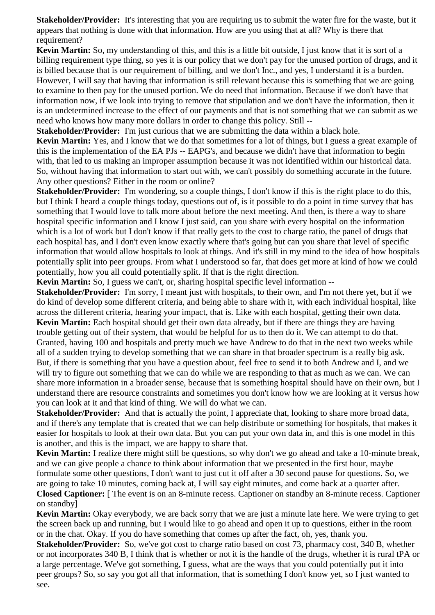**Stakeholder/Provider:** It's interesting that you are requiring us to submit the water fire for the waste, but it appears that nothing is done with that information. How are you using that at all? Why is there that requirement?

**Kevin Martin:** So, my understanding of this, and this is a little bit outside, I just know that it is sort of a billing requirement type thing, so yes it is our policy that we don't pay for the unused portion of drugs, and it is billed because that is our requirement of billing, and we don't Inc., and yes, I understand it is a burden. However, I will say that having that information is still relevant because this is something that we are going to examine to then pay for the unused portion. We do need that information. Because if we don't have that information now, if we look into trying to remove that stipulation and we don't have the information, then it is an undetermined increase to the effect of our payments and that is not something that we can submit as we need who knows how many more dollars in order to change this policy. Still --

**Stakeholder/Provider:** I'm just curious that we are submitting the data within a black hole.

**Kevin Martin:** Yes, and I know that we do that sometimes for a lot of things, but I guess a great example of this is the implementation of the EA PJs -- EAPG's, and because we didn't have that information to begin with, that led to us making an improper assumption because it was not identified within our historical data. So, without having that information to start out with, we can't possibly do something accurate in the future. Any other questions? Either in the room or online?

**Stakeholder/Provider:** I'm wondering, so a couple things, I don't know if this is the right place to do this, but I think I heard a couple things today, questions out of, is it possible to do a point in time survey that has something that I would love to talk more about before the next meeting. And then, is there a way to share hospital specific information and I know I just said, can you share with every hospital on the information which is a lot of work but I don't know if that really gets to the cost to charge ratio, the panel of drugs that each hospital has, and I don't even know exactly where that's going but can you share that level of specific information that would allow hospitals to look at things. And it's still in my mind to the idea of how hospitals potentially split into peer groups. From what I understood so far, that does get more at kind of how we could potentially, how you all could potentially split. If that is the right direction.

**Kevin Martin:** So, I guess we can't, or, sharing hospital specific level information --

**Stakeholder/Provider:** I'm sorry, I meant just with hospitals, to their own, and I'm not there yet, but if we do kind of develop some different criteria, and being able to share with it, with each individual hospital, like across the different criteria, hearing your impact, that is. Like with each hospital, getting their own data. **Kevin Martin:** Each hospital should get their own data already, but if there are things they are having trouble getting out of their system, that would be helpful for us to then do it. We can attempt to do that. Granted, having 100 and hospitals and pretty much we have Andrew to do that in the next two weeks while all of a sudden trying to develop something that we can share in that broader spectrum is a really big ask. But, if there is something that you have a question about, feel free to send it to both Andrew and I, and we will try to figure out something that we can do while we are responding to that as much as we can. We can share more information in a broader sense, because that is something hospital should have on their own, but I understand there are resource constraints and sometimes you don't know how we are looking at it versus how you can look at it and that kind of thing. We will do what we can.

**Stakeholder/Provider:** And that is actually the point, I appreciate that, looking to share more broad data, and if there's any template that is created that we can help distribute or something for hospitals, that makes it easier for hospitals to look at their own data. But you can put your own data in, and this is one model in this is another, and this is the impact, we are happy to share that.

**Kevin Martin:** I realize there might still be questions, so why don't we go ahead and take a 10-minute break, and we can give people a chance to think about information that we presented in the first hour, maybe formulate some other questions, I don't want to just cut it off after a 30 second pause for questions. So, we are going to take 10 minutes, coming back at, I will say eight minutes, and come back at a quarter after. **Closed Captioner:** [ The event is on an 8-minute recess. Captioner on standby an 8-minute recess. Captioner

on standby]

**Kevin Martin:** Okay everybody, we are back sorry that we are just a minute late here. We were trying to get the screen back up and running, but I would like to go ahead and open it up to questions, either in the room or in the chat. Okay. If you do have something that comes up after the fact, oh, yes, thank you.

**Stakeholder/Provider:** So, we've got cost to charge ratio based on cost 73, pharmacy cost, 340 B, whether or not incorporates 340 B, I think that is whether or not it is the handle of the drugs, whether it is rural tPA or a large percentage. We've got something, I guess, what are the ways that you could potentially put it into peer groups? So, so say you got all that information, that is something I don't know yet, so I just wanted to see.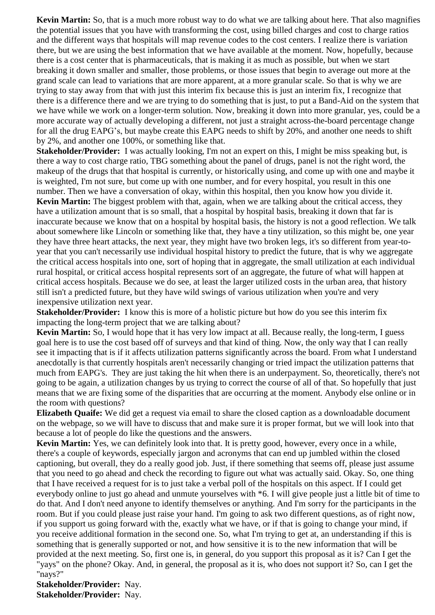**Kevin Martin:** So, that is a much more robust way to do what we are talking about here. That also magnifies the potential issues that you have with transforming the cost, using billed charges and cost to charge ratios and the different ways that hospitals will map revenue codes to the cost centers. I realize there is variation there, but we are using the best information that we have available at the moment. Now, hopefully, because there is a cost center that is pharmaceuticals, that is making it as much as possible, but when we start breaking it down smaller and smaller, those problems, or those issues that begin to average out more at the grand scale can lead to variations that are more apparent, at a more granular scale. So that is why we are trying to stay away from that with just this interim fix because this is just an interim fix, I recognize that there is a difference there and we are trying to do something that is just, to put a Band-Aid on the system that we have while we work on a longer-term solution. Now, breaking it down into more granular, yes, could be a more accurate way of actually developing a different, not just a straight across-the-board percentage change for all the drug EAPG's, but maybe create this EAPG needs to shift by 20%, and another one needs to shift by 2%, and another one 100%, or something like that.

**Stakeholder/Provider:** I was actually looking, I'm not an expert on this, I might be miss speaking but, is there a way to cost charge ratio, TBG something about the panel of drugs, panel is not the right word, the makeup of the drugs that that hospital is currently, or historically using, and come up with one and maybe it is weighted, I'm not sure, but come up with one number, and for every hospital, you result in this one number. Then we have a conversation of okay, within this hospital, then you know how you divide it.

**Kevin Martin:** The biggest problem with that, again, when we are talking about the critical access, they have a utilization amount that is so small, that a hospital by hospital basis, breaking it down that far is inaccurate because we know that on a hospital by hospital basis, the history is not a good reflection. We talk about somewhere like Lincoln or something like that, they have a tiny utilization, so this might be, one year they have three heart attacks, the next year, they might have two broken legs, it's so different from year-toyear that you can't necessarily use individual hospital history to predict the future, that is why we aggregate the critical access hospitals into one, sort of hoping that in aggregate, the small utilization at each individual rural hospital, or critical access hospital represents sort of an aggregate, the future of what will happen at critical access hospitals. Because we do see, at least the larger utilized costs in the urban area, that history still isn't a predicted future, but they have wild swings of various utilization when you're and very inexpensive utilization next year.

**Stakeholder/Provider:** I know this is more of a holistic picture but how do you see this interim fix impacting the long-term project that we are talking about?

**Kevin Martin:** So, I would hope that it has very low impact at all. Because really, the long-term, I guess goal here is to use the cost based off of surveys and that kind of thing. Now, the only way that I can really see it impacting that is if it affects utilization patterns significantly across the board. From what I understand anecdotally is that currently hospitals aren't necessarily changing or tried impact the utilization patterns that much from EAPG's. They are just taking the hit when there is an underpayment. So, theoretically, there's not going to be again, a utilization changes by us trying to correct the course of all of that. So hopefully that just means that we are fixing some of the disparities that are occurring at the moment. Anybody else online or in the room with questions?

**Elizabeth Quaife:** We did get a request via email to share the closed caption as a downloadable document on the webpage, so we will have to discuss that and make sure it is proper format, but we will look into that because a lot of people do like the questions and the answers.

**Kevin Martin:** Yes, we can definitely look into that. It is pretty good, however, every once in a while, there's a couple of keywords, especially jargon and acronyms that can end up jumbled within the closed captioning, but overall, they do a really good job. Just, if there something that seems off, please just assume that you need to go ahead and check the recording to figure out what was actually said. Okay. So, one thing that I have received a request for is to just take a verbal poll of the hospitals on this aspect. If I could get everybody online to just go ahead and unmute yourselves with \*6. I will give people just a little bit of time to do that. And I don't need anyone to identify themselves or anything. And I'm sorry for the participants in the room. But if you could please just raise your hand. I'm going to ask two different questions, as of right now, if you support us going forward with the, exactly what we have, or if that is going to change your mind, if you receive additional formation in the second one. So, what I'm trying to get at, an understanding if this is something that is generally supported or not, and how sensitive it is to the new information that will be provided at the next meeting. So, first one is, in general, do you support this proposal as it is? Can I get the "yays" on the phone? Okay. And, in general, the proposal as it is, who does not support it? So, can I get the "nays?"

**Stakeholder/Provider:** Nay. **Stakeholder/Provider:** Nay.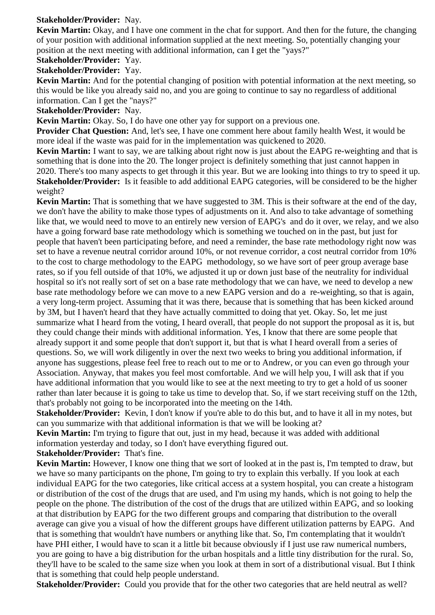# **Stakeholder/Provider:** Nay.

**Kevin Martin:** Okay, and I have one comment in the chat for support. And then for the future, the changing of your position with additional information supplied at the next meeting. So, potentially changing your position at the next meeting with additional information, can I get the "yays?"

# **Stakeholder/Provider:** Yay.

# **Stakeholder/Provider:** Yay.

**Kevin Martin:** And for the potential changing of position with potential information at the next meeting, so this would be like you already said no, and you are going to continue to say no regardless of additional information. Can I get the "nays?"

### **Stakeholder/Provider:** Nay.

**Kevin Martin:** Okay. So, I do have one other yay for support on a previous one.

**Provider Chat Question:** And, let's see, I have one comment here about family health West, it would be more ideal if the waste was paid for in the implementation was quickened to 2020.

**Kevin Martin:** I want to say, we are talking about right now is just about the EAPG re-weighting and that is something that is done into the 20. The longer project is definitely something that just cannot happen in 2020. There's too many aspects to get through it this year. But we are looking into things to try to speed it up. **Stakeholder/Provider:** Is it feasible to add additional EAPG categories, will be considered to be the higher weight?

**Kevin Martin:** That is something that we have suggested to 3M. This is their software at the end of the day, we don't have the ability to make those types of adjustments on it. And also to take advantage of something like that, we would need to move to an entirely new version of EAPG's and do it over, we relay, and we also have a going forward base rate methodology which is something we touched on in the past, but just for people that haven't been participating before, and need a reminder, the base rate methodology right now was set to have a revenue neutral corridor around 10%, or not revenue corridor, a cost neutral corridor from 10% to the cost to charge methodology to the EAPG methodology, so we have sort of peer group average base rates, so if you fell outside of that 10%, we adjusted it up or down just base of the neutrality for individual hospital so it's not really sort of set on a base rate methodology that we can have, we need to develop a new base rate methodology before we can move to a new EAPG version and do a re-weighting, so that is again, a very long-term project. Assuming that it was there, because that is something that has been kicked around by 3M, but I haven't heard that they have actually committed to doing that yet. Okay. So, let me just summarize what I heard from the voting, I heard overall, that people do not support the proposal as it is, but they could change their minds with additional information. Yes, I know that there are some people that already support it and some people that don't support it, but that is what I heard overall from a series of questions. So, we will work diligently in over the next two weeks to bring you additional information, if anyone has suggestions, please feel free to reach out to me or to Andrew, or you can even go through your Association. Anyway, that makes you feel most comfortable. And we will help you, I will ask that if you have additional information that you would like to see at the next meeting to try to get a hold of us sooner rather than later because it is going to take us time to develop that. So, if we start receiving stuff on the 12th, that's probably not going to be incorporated into the meeting on the 14th.

**Stakeholder/Provider:** Kevin, I don't know if you're able to do this but, and to have it all in my notes, but can you summarize with that additional information is that we will be looking at?

**Kevin Martin:** I'm trying to figure that out, just in my head, because it was added with additional information yesterday and today, so I don't have everything figured out.

# **Stakeholder/Provider:** That's fine.

**Kevin Martin:** However, I know one thing that we sort of looked at in the past is, I'm tempted to draw, but we have so many participants on the phone, I'm going to try to explain this verbally. If you look at each individual EAPG for the two categories, like critical access at a system hospital, you can create a histogram or distribution of the cost of the drugs that are used, and I'm using my hands, which is not going to help the people on the phone. The distribution of the cost of the drugs that are utilized within EAPG, and so looking at that distribution by EAPG for the two different groups and comparing that distribution to the overall average can give you a visual of how the different groups have different utilization patterns by EAPG. And that is something that wouldn't have numbers or anything like that. So, I'm contemplating that it wouldn't have PHI either, I would have to scan it a little bit because obviously if I just use raw numerical numbers, you are going to have a big distribution for the urban hospitals and a little tiny distribution for the rural. So, they'll have to be scaled to the same size when you look at them in sort of a distributional visual. But I think that is something that could help people understand.

**Stakeholder/Provider:** Could you provide that for the other two categories that are held neutral as well?